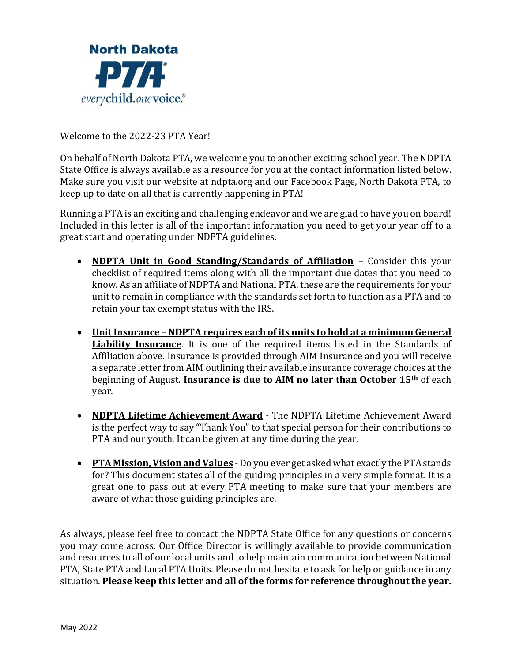

Welcome to the 2022-23 PTA Year!

On behalf of North Dakota PTA, we welcome you to another exciting school year. The NDPTA State Office is always available as a resource for you at the contact information listed below. Make sure you visit our website at ndpta.org and our Facebook Page, North Dakota PTA, to keep up to date on all that is currently happening in PTA!

Running a PTA is an exciting and challenging endeavor and we are glad to have you on board! Included in this letter is all of the important information you need to get your year off to a great start and operating under NDPTA guidelines.

- **NDPTA Unit in Good Standing/Standards of Affiliation** Consider this your checklist of required items along with all the important due dates that you need to know. As an affiliate of NDPTA and National PTA, these are the requirements for your unit to remain in compliance with the standards set forth to function as a PTA and to retain your tax exempt status with the IRS.
- **Unit Insurance NDPTA requires each of its units to hold at a minimum General Liability Insurance**. It is one of the required items listed in the Standards of Affiliation above. Insurance is provided through AIM Insurance and you will receive a separate letter from AIM outlining their available insurance coverage choices at the beginning of August. **Insurance is due to AIM no later than October 15th** of each year.
- **NDPTA Lifetime Achievement Award** The NDPTA Lifetime Achievement Award is the perfect way to say "Thank You" to that special person for their contributions to PTA and our youth. It can be given at any time during the year.
- **PTA Mission, Vision and Values** Do you ever get asked what exactly the PTA stands for? This document states all of the guiding principles in a very simple format. It is a great one to pass out at every PTA meeting to make sure that your members are aware of what those guiding principles are.

As always, please feel free to contact the NDPTA State Office for any questions or concerns you may come across. Our Office Director is willingly available to provide communication and resources to all of our local units and to help maintain communication between National PTA, State PTA and Local PTA Units. Please do not hesitate to ask for help or guidance in any situation. **Please keep this letter and all of the forms for reference throughout the year.**